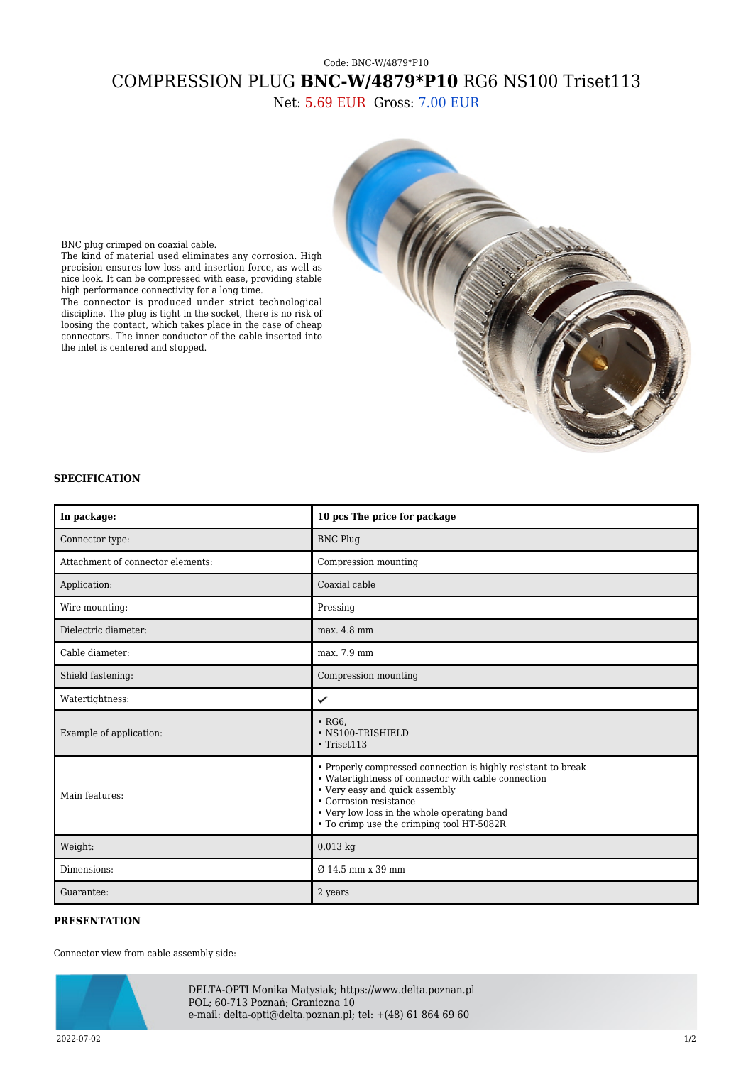## Code: BNC-W/4879\*P10 COMPRESSION PLUG **BNC-W/4879\*P10** RG6 NS100 Triset113

Net: 5.69 EUR Gross: 7.00 EUR



BNC plug crimped on coaxial cable.

The kind of material used eliminates any corrosion. High precision ensures low loss and insertion force, as well as nice look. It can be compressed with ease, providing stable high performance connectivity for a long time.

The connector is produced under strict technological discipline. The plug is tight in the socket, there is no risk of loosing the contact, which takes place in the case of cheap connectors. The inner conductor of the cable inserted into the inlet is centered and stopped.

## **SPECIFICATION**

| In package:                       | 10 pcs The price for package                                                                                                                                                                                                                                                 |
|-----------------------------------|------------------------------------------------------------------------------------------------------------------------------------------------------------------------------------------------------------------------------------------------------------------------------|
| Connector type:                   | <b>BNC Plug</b>                                                                                                                                                                                                                                                              |
| Attachment of connector elements: | Compression mounting                                                                                                                                                                                                                                                         |
| Application:                      | Coaxial cable                                                                                                                                                                                                                                                                |
| Wire mounting:                    | Pressing                                                                                                                                                                                                                                                                     |
| Dielectric diameter:              | max. 4.8 mm                                                                                                                                                                                                                                                                  |
| Cable diameter:                   | max. 7.9 mm                                                                                                                                                                                                                                                                  |
| Shield fastening:                 | Compression mounting                                                                                                                                                                                                                                                         |
| Watertightness:                   | ✓                                                                                                                                                                                                                                                                            |
| Example of application:           | $\cdot$ RG6.<br>· NS100-TRISHIELD<br>$\cdot$ Triset113                                                                                                                                                                                                                       |
| Main features:                    | • Properly compressed connection is highly resistant to break<br>• Watertightness of connector with cable connection<br>• Very easy and quick assembly<br>• Corrosion resistance<br>• Very low loss in the whole operating band<br>• To crimp use the crimping tool HT-5082R |
| Weight:                           | $0.013$ kg                                                                                                                                                                                                                                                                   |
| Dimensions:                       | $\varnothing$ 14.5 mm x 39 mm                                                                                                                                                                                                                                                |
| Guarantee:                        | 2 years                                                                                                                                                                                                                                                                      |

## **PRESENTATION**

Connector view from cable assembly side:



DELTA-OPTI Monika Matysiak; https://www.delta.poznan.pl POL; 60-713 Poznań; Graniczna 10 e-mail: delta-opti@delta.poznan.pl; tel: +(48) 61 864 69 60